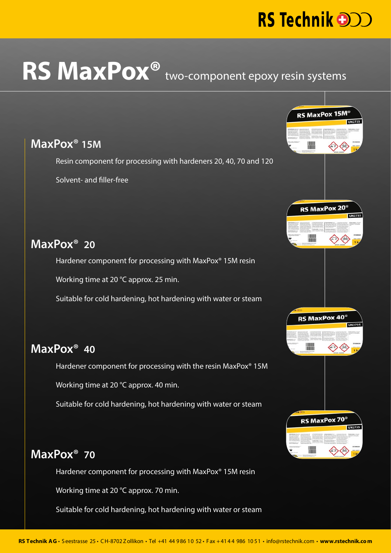# RS Technik **DD**

RS MaxPox 15M<sup>®</sup>

RS MaxPox 20<sup>®</sup>

**RS MaxPox 40** 

RS MaxPox 70

# RS MaxPox<sup>®</sup> two-component epoxy resin systems

#### **MaxPox® 15M**

Resin component for processing with hardeners 20, 40, 70 and 120

Solvent- and filler-free

## **MaxPox® 20**

Hardener component for processing with MaxPox® 15M resin

Working time at 20 °C approx. 25 min.

Suitable for cold hardening, hot hardening with water or steam

#### **MaxPox® 40**

Hardener component for processing with the resin MaxPox® 15M

Working time at 20 °C approx. 40 min.

Suitable for cold hardening, hot hardening with water or steam

## **MaxPox® 70**

Hardener component for processing with MaxPox® 15M resin

Working time at 20 °C approx. 70 min.

Suitable for cold hardening, hot hardening with water or steam